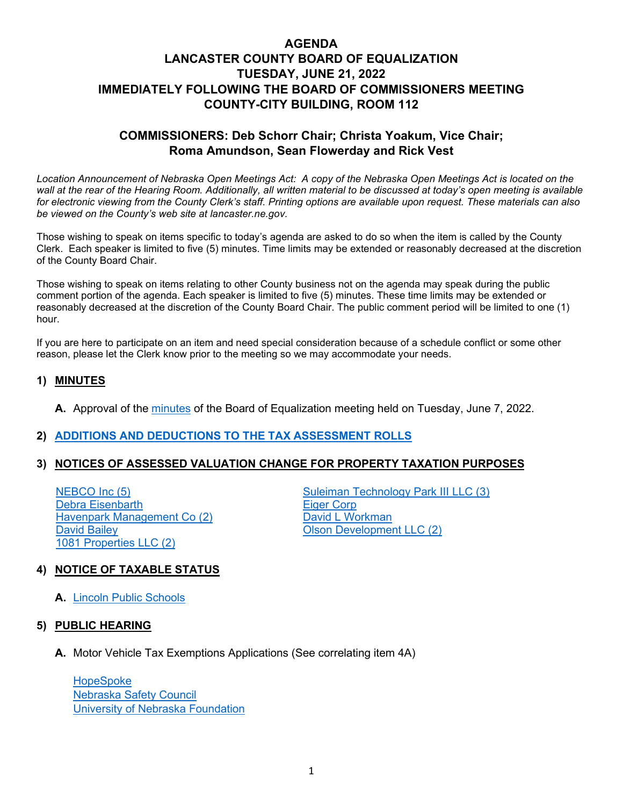# **AGENDA LANCASTER COUNTY BOARD OF EQUALIZATION TUESDAY, JUNE 21, 2022 IMMEDIATELY FOLLOWING THE BOARD OF COMMISSIONERS MEETING COUNTY-CITY BUILDING, ROOM 112**

# **COMMISSIONERS: Deb Schorr Chair; Christa Yoakum, Vice Chair; Roma Amundson, Sean Flowerday and Rick Vest**

Location Announcement of Nebraska Open Meetings Act: A copy of the Nebraska Open Meetings Act is located on the *wall at the rear of the Hearing Room. Additionally, all written material to be discussed at today's open meeting is available for electronic viewing from the County Clerk's staff. Printing options are available upon request. These materials can also be viewed on the County's web site at lancaster.ne.gov.*

Those wishing to speak on items specific to today's agenda are asked to do so when the item is called by the County Clerk. Each speaker is limited to five (5) minutes. Time limits may be extended or reasonably decreased at the discretion of the County Board Chair.

Those wishing to speak on items relating to other County business not on the agenda may speak during the public comment portion of the agenda. Each speaker is limited to five (5) minutes. These time limits may be extended or reasonably decreased at the discretion of the County Board Chair. The public comment period will be limited to one (1) hour.

If you are here to participate on an item and need special consideration because of a schedule conflict or some other reason, please let the Clerk know prior to the meeting so we may accommodate your needs.

## **1) MINUTES**

**A.** Approval of the [minutes](https://www.lancaster.ne.gov/DocumentCenter/View/14214/mi220607-BOE--PDF-) of the Board of Equalization meeting held on Tuesday, June 7, 2022.

## **2) [ADDITIONS AND DEDUCTIONS TO THE TAX ASSESSMENT ROLLS](https://www.lancaster.ne.gov/DocumentCenter/View/14217/Add-and-Ded-PDF-)**

#### **3) NOTICES OF ASSESSED VALUATION CHANGE FOR PROPERTY TAXATION PURPOSES**

[Debra Eisenbarth](https://www.lancaster.ne.gov/DocumentCenter/View/14240/Debra-Eisenbarth-PDF-) Exteen the Management Co (2) The [David L Workman](https://www.lancaster.ne.gov/DocumentCenter/View/14239/David-L-Workman-PDF-) David L Workman<br>David Bailey David David David David Bailey [1081 Properties LLC \(2\)](https://www.lancaster.ne.gov/DocumentCenter/View/14237/1081-Properties-LLC-PDF-)

[NEBCO Inc \(5\)](https://www.lancaster.ne.gov/DocumentCenter/View/14243/NEBCO-Inc-PDF-) [Suleiman Technology Park III LLC](https://www.lancaster.ne.gov/DocumentCenter/View/14236/Suleiman-Technology-Park-III-LLC-PDF-) (3) **[Olson Development LLC \(2\)](https://www.lancaster.ne.gov/DocumentCenter/View/14244/Olson-Development-LLC-PDF-)** 

## **4) NOTICE OF TAXABLE STATUS**

**A.** [Lincoln Public Schools](https://www.lancaster.ne.gov/DocumentCenter/View/14213/Lincoln-Public-School-PDF-)

#### **5) PUBLIC HEARING**

**A.** Motor Vehicle Tax Exemptions Applications (See correlating item 4A)

**[HopeSpoke](https://www.lancaster.ne.gov/DocumentCenter/View/14218/HopeSpoke-PDF-)** [Nebraska Safety Council](https://www.lancaster.ne.gov/DocumentCenter/View/14215/Nebraska-Safety-Council-PDF-) [University of Nebraska Foundation](https://www.lancaster.ne.gov/DocumentCenter/View/14216/University-of-Nebraska-Foundation-PDF-)